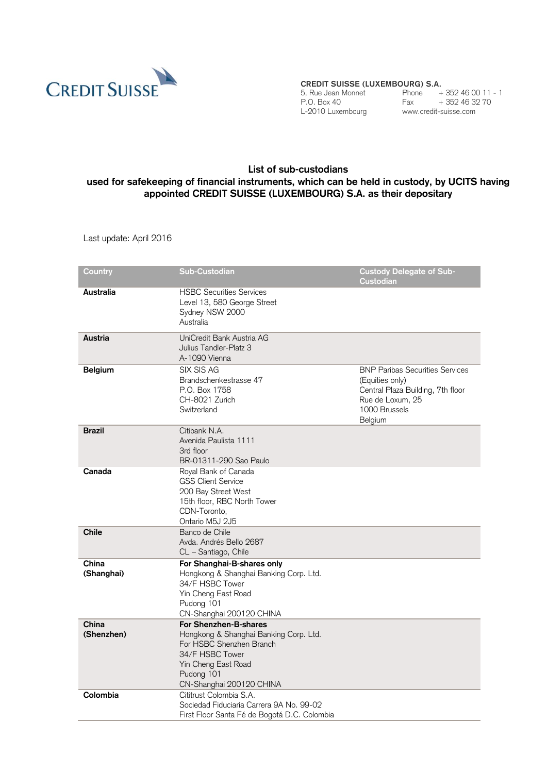

**CREDIT SUISSE (LUXEMBOURG) S.A.**

L-2010 Luxembourg www.credit-suisse.com

5, Rue Jean Monnet Phone + 352 46 00 11 - 1 P.O. Box 40 Fax + 352 46 32 70

## **List of sub-custodians used for safekeeping of financial instruments, which can be held in custody, by UCITS having appointed CREDIT SUISSE (LUXEMBOURG) S.A. as their depositary**

Last update: April 2016

| Country             | <b>Sub-Custodian</b>                                                                                                                                                            | <b>Custody Delegate of Sub-</b>                                                                                                                |
|---------------------|---------------------------------------------------------------------------------------------------------------------------------------------------------------------------------|------------------------------------------------------------------------------------------------------------------------------------------------|
|                     |                                                                                                                                                                                 | Custodian                                                                                                                                      |
| Australia           | <b>HSBC Securities Services</b><br>Level 13, 580 George Street<br>Sydney NSW 2000<br>Australia                                                                                  |                                                                                                                                                |
| Austria             | UniCredit Bank Austria AG<br>Julius Tandler-Platz 3<br>A-1090 Vienna                                                                                                            |                                                                                                                                                |
| <b>Belgium</b>      | SIX SIS AG<br>Brandschenkestrasse 47<br>P.O. Box 1758<br>CH-8021 Zurich<br>Switzerland                                                                                          | <b>BNP Paribas Securities Services</b><br>(Equities only)<br>Central Plaza Building, 7th floor<br>Rue de Loxum, 25<br>1000 Brussels<br>Belgium |
| <b>Brazil</b>       | Citibank N.A.<br>Avenida Paulista 1111<br>3rd floor<br>BR-01311-290 Sao Paulo                                                                                                   |                                                                                                                                                |
| Canada              | Royal Bank of Canada<br><b>GSS Client Service</b><br>200 Bay Street West<br>15th floor, RBC North Tower<br>CDN-Toronto,<br>Ontario M5J 2J5                                      |                                                                                                                                                |
| <b>Chile</b>        | Banco de Chile<br>Avda, Andrés Bello 2687<br>CL - Santiago, Chile                                                                                                               |                                                                                                                                                |
| China<br>(Shanghai) | For Shanghai-B-shares only<br>Hongkong & Shanghai Banking Corp. Ltd.<br>34/F HSBC Tower<br>Yin Cheng East Road<br>Pudong 101<br>CN-Shanghai 200120 CHINA                        |                                                                                                                                                |
| China<br>(Shenzhen) | For Shenzhen-B-shares<br>Hongkong & Shanghai Banking Corp. Ltd.<br>For HSBC Shenzhen Branch<br>34/F HSBC Tower<br>Yin Cheng East Road<br>Pudong 101<br>CN-Shanghai 200120 CHINA |                                                                                                                                                |
| Colombia            | Cititrust Colombia S.A.<br>Sociedad Fiduciaria Carrera 9A No. 99-02<br>First Floor Santa Fé de Bogotá D.C. Colombia                                                             |                                                                                                                                                |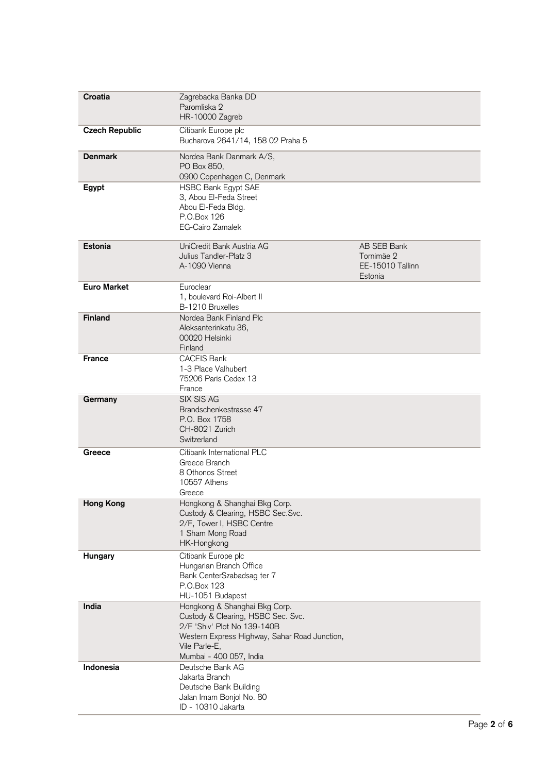| Croatia               | Zagrebacka Banka DD<br>Paromliska 2<br>HR-10000 Zagreb                                                                                                                                          |                                                          |
|-----------------------|-------------------------------------------------------------------------------------------------------------------------------------------------------------------------------------------------|----------------------------------------------------------|
| <b>Czech Republic</b> | Citibank Europe plc<br>Bucharova 2641/14, 158 02 Praha 5                                                                                                                                        |                                                          |
| <b>Denmark</b>        | Nordea Bank Danmark A/S,<br>PO Box 850,<br>0900 Copenhagen C, Denmark                                                                                                                           |                                                          |
| Egypt                 | <b>HSBC Bank Egypt SAE</b><br>3, Abou El-Feda Street<br>Abou El-Feda Bldg.<br>P.O.Box 126<br><b>EG-Cairo Zamalek</b>                                                                            |                                                          |
| Estonia               | UniCredit Bank Austria AG<br>Julius Tandler-Platz 3<br>A-1090 Vienna                                                                                                                            | AB SEB Bank<br>Tornimäe 2<br>EE-15010 Tallinn<br>Estonia |
| <b>Euro Market</b>    | Euroclear<br>1, boulevard Roi-Albert II<br>B-1210 Bruxelles                                                                                                                                     |                                                          |
| <b>Finland</b>        | Nordea Bank Finland Plc<br>Aleksanterinkatu 36,<br>00020 Helsinki<br>Finland                                                                                                                    |                                                          |
| <b>France</b>         | <b>CACEIS Bank</b><br>1-3 Place Valhubert<br>75206 Paris Cedex 13<br>France                                                                                                                     |                                                          |
| Germany               | SIX SIS AG<br>Brandschenkestrasse 47<br>P.O. Box 1758<br>CH-8021 Zurich<br>Switzerland                                                                                                          |                                                          |
| Greece                | Citibank International PLC<br>Greece Branch<br>8 Othonos Street<br>10557 Athens<br>Greece                                                                                                       |                                                          |
| <b>Hong Kong</b>      | Hongkong & Shanghai Bkg Corp.<br>Custody & Clearing, HSBC Sec.Svc.<br>2/F, Tower I, HSBC Centre<br>1 Sham Mong Road<br>HK-Hongkong                                                              |                                                          |
| Hungary               | Citibank Europe plc<br>Hungarian Branch Office<br>Bank CenterSzabadsag ter 7<br>P.O.Box 123<br>HU-1051 Budapest                                                                                 |                                                          |
| India                 | Hongkong & Shanghai Bkg Corp.<br>Custody & Clearing, HSBC Sec. Svc.<br>2/F 'Shiv' Plot No 139-140B<br>Western Express Highway, Sahar Road Junction,<br>Vile Parle-E,<br>Mumbai - 400 057, India |                                                          |
| Indonesia             | Deutsche Bank AG<br>Jakarta Branch<br>Deutsche Bank Building<br>Jalan Imam Bonjol No. 80<br>ID - 10310 Jakarta                                                                                  |                                                          |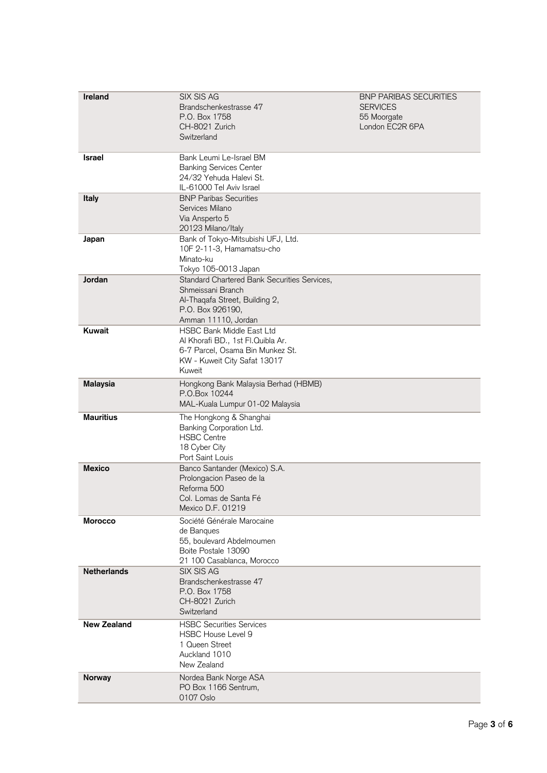| Ireland            | SIX SIS AG                                                       | <b>BNP PARIBAS SECURITIES</b> |
|--------------------|------------------------------------------------------------------|-------------------------------|
|                    | Brandschenkestrasse 47                                           | <b>SERVICES</b>               |
|                    | P.O. Box 1758                                                    | 55 Moorgate                   |
|                    | CH-8021 Zurich                                                   | London EC2R 6PA               |
|                    | Switzerland                                                      |                               |
| <b>Israel</b>      | Bank Leumi Le-Israel BM                                          |                               |
|                    | <b>Banking Services Center</b>                                   |                               |
|                    | 24/32 Yehuda Halevi St.                                          |                               |
|                    | IL-61000 Tel Aviv Israel                                         |                               |
| Italy              | <b>BNP Paribas Securities</b>                                    |                               |
|                    | Services Milano                                                  |                               |
|                    | Via Ansperto 5                                                   |                               |
|                    | 20123 Milano/Italy                                               |                               |
| Japan              | Bank of Tokyo-Mitsubishi UFJ, Ltd.<br>10F 2-11-3, Hamamatsu-cho  |                               |
|                    | Minato-ku                                                        |                               |
|                    | Tokyo 105-0013 Japan                                             |                               |
| Jordan             | Standard Chartered Bank Securities Services,                     |                               |
|                    | Shmeissani Branch                                                |                               |
|                    | Al-Thaqafa Street, Building 2,                                   |                               |
|                    | P.O. Box 926190,                                                 |                               |
|                    | Amman 11110, Jordan                                              |                               |
| Kuwait             | <b>HSBC Bank Middle East Ltd</b>                                 |                               |
|                    | Al Khorafi BD., 1st Fl.Quibla Ar.                                |                               |
|                    | 6-7 Parcel, Osama Bin Munkez St.<br>KW - Kuweit City Safat 13017 |                               |
|                    | Kuweit                                                           |                               |
| <b>Malaysia</b>    | Hongkong Bank Malaysia Berhad (HBMB)                             |                               |
|                    | P.O.Box 10244                                                    |                               |
|                    | MAL-Kuala Lumpur 01-02 Malaysia                                  |                               |
| <b>Mauritius</b>   | The Hongkong & Shanghai                                          |                               |
|                    | Banking Corporation Ltd.                                         |                               |
|                    | <b>HSBC Centre</b>                                               |                               |
|                    | 18 Cyber City                                                    |                               |
|                    | Port Saint Louis                                                 |                               |
| <b>Mexico</b>      | Banco Santander (Mexico) S.A.                                    |                               |
|                    | Prolongacion Paseo de la                                         |                               |
|                    | Reforma 500<br>Col. Lomas de Santa Fé                            |                               |
|                    | Mexico D.F. 01219                                                |                               |
| <b>Morocco</b>     | Société Générale Marocaine                                       |                               |
|                    | de Bangues                                                       |                               |
|                    | 55, boulevard Abdelmoumen                                        |                               |
|                    | Boite Postale 13090                                              |                               |
|                    | 21 100 Casablanca, Morocco                                       |                               |
| <b>Netherlands</b> | SIX SIS AG                                                       |                               |
|                    | Brandschenkestrasse 47                                           |                               |
|                    | P.O. Box 1758                                                    |                               |
|                    | CH-8021 Zurich<br>Switzerland                                    |                               |
| <b>New Zealand</b> | <b>HSBC Securities Services</b>                                  |                               |
|                    | HSBC House Level 9                                               |                               |
|                    | 1 Queen Street                                                   |                               |
|                    | Auckland 1010                                                    |                               |
|                    | New Zealand                                                      |                               |
| Norway             | Nordea Bank Norge ASA                                            |                               |
|                    | PO Box 1166 Sentrum,                                             |                               |
|                    | 0107 Oslo                                                        |                               |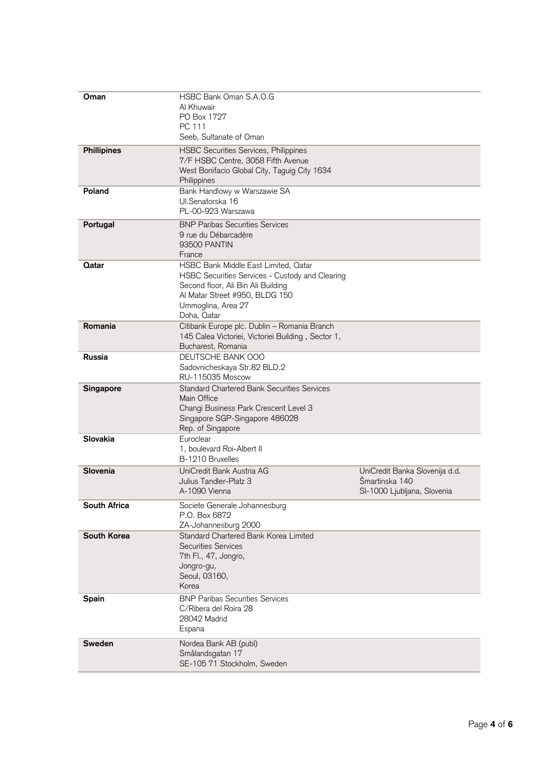| Oman               | HSBC Bank Oman S.A.O.G<br>Al Khuwair<br>PO Box 1727<br>PC 111<br>Seeb, Sultanate of Oman                                                                                                             |                                                                                 |
|--------------------|------------------------------------------------------------------------------------------------------------------------------------------------------------------------------------------------------|---------------------------------------------------------------------------------|
| <b>Phillipines</b> | <b>HSBC Securities Services, Philippines</b><br>7/F HSBC Centre, 3058 Fifth Avenue<br>West Bonifacio Global City, Taguig City 1634<br>Philippines                                                    |                                                                                 |
| Poland             | Bank Handlowy w Warszawie SA<br>Ul.Senatorska 16<br>PL-00-923 Warszawa                                                                                                                               |                                                                                 |
| Portugal           | <b>BNP Paribas Securities Services</b><br>9 rue du Débarcadère<br>93500 PANTIN<br>France                                                                                                             |                                                                                 |
| Qatar              | HSBC Bank Middle East Limited, Oatar<br>HSBC Securities Services - Custody and Clearing<br>Second floor, Ali Bin Ali Building<br>Al Matar Street #950, BLDG 150<br>Ummoglina, Area 27<br>Doha, Qatar |                                                                                 |
| Romania            | Citibank Europe plc. Dublin - Romania Branch<br>145 Calea Victoriei, Victoriei Building, Sector 1,<br>Bucharest, Romania                                                                             |                                                                                 |
| Russia             | DEUTSCHE BANK 000<br>Sadovnicheskaya Str.82 BLD.2<br><b>RU-115035 Moscow</b>                                                                                                                         |                                                                                 |
| <b>Singapore</b>   | <b>Standard Chartered Bank Securities Services</b><br>Main Office<br>Changi Business Park Crescent Level 3<br>Singapore SGP-Singapore 486028<br>Rep. of Singapore                                    |                                                                                 |
| Slovakia           | Euroclear<br>1, boulevard Roi-Albert II<br>B-1210 Bruxelles                                                                                                                                          |                                                                                 |
| Slovenia           | UniCredit Bank Austria AG<br>Julius Tandler-Platz 3<br>A-1090 Vienna                                                                                                                                 | UniCredit Banka Slovenija d.d.<br>Šmartinska 140<br>SI-1000 Ljubljana, Slovenia |
| South Africa       | Societe Generale Johannesburg<br>P.O. Box 6872<br>ZA-Johannesburg 2000                                                                                                                               |                                                                                 |
| South Korea        | Standard Chartered Bank Korea Limited<br><b>Securities Services</b><br>7th Fl., 47, Jongro,<br>Jongro-gu,<br>Seoul, 03160,<br>Korea                                                                  |                                                                                 |
| Spain              | <b>BNP Paribas Securities Services</b><br>C/Ribera del Roira 28<br>28042 Madrid<br>Espana                                                                                                            |                                                                                 |
| Sweden             | Nordea Bank AB (publ)<br>Smålandsgatan 17<br>SE-105 71 Stockholm, Sweden                                                                                                                             |                                                                                 |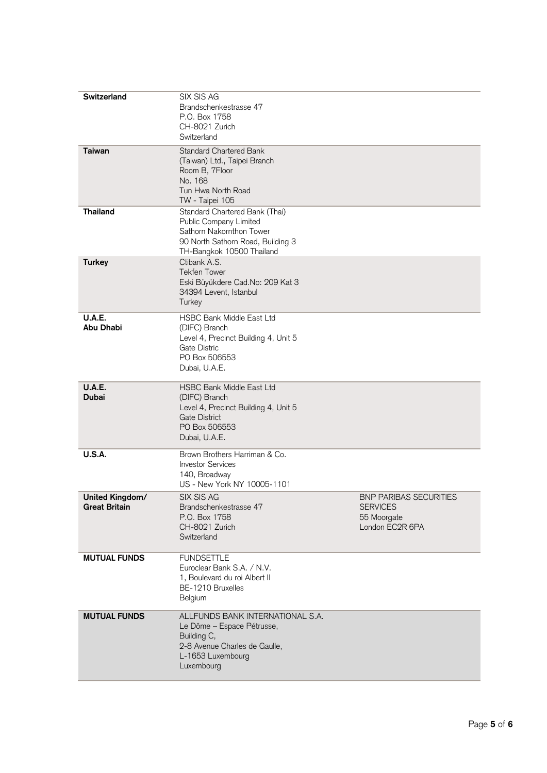| <b>Switzerland</b>                      | SIX SIS AG<br>Brandschenkestrasse 47<br>P.O. Box 1758<br>CH-8021 Zurich<br>Switzerland                                                                 |                                                                                    |
|-----------------------------------------|--------------------------------------------------------------------------------------------------------------------------------------------------------|------------------------------------------------------------------------------------|
| <b>Taiwan</b>                           | Standard Chartered Bank<br>(Taiwan) Ltd., Taipei Branch<br>Room B, 7Floor<br>No. 168<br>Tun Hwa North Road<br>TW - Taipei 105                          |                                                                                    |
| <b>Thailand</b>                         | Standard Chartered Bank (Thai)<br>Public Company Limited<br>Sathorn Nakornthon Tower<br>90 North Sathorn Road, Building 3<br>TH-Bangkok 10500 Thailand |                                                                                    |
| <b>Turkey</b>                           | Ctibank A.S.<br>Tekfen Tower<br>Eski Büyükdere Cad.No: 209 Kat 3<br>34394 Levent, Istanbul<br>Turkey                                                   |                                                                                    |
| U.A.E.<br>Abu Dhabi                     | <b>HSBC Bank Middle East Ltd</b><br>(DIFC) Branch<br>Level 4, Precinct Building 4, Unit 5<br>Gate Distric<br>PO Box 506553<br>Dubai, U.A.E.            |                                                                                    |
| <b>U.A.E.</b><br>Dubai                  | <b>HSBC Bank Middle East Ltd</b><br>(DIFC) Branch<br>Level 4, Precinct Building 4, Unit 5<br>Gate District<br>PO Box 506553<br>Dubai, U.A.E.           |                                                                                    |
| <b>U.S.A.</b>                           | Brown Brothers Harriman & Co.<br><b>Investor Services</b><br>140, Broadway<br>US - New York NY 10005-1101                                              |                                                                                    |
| United Kingdom/<br><b>Great Britain</b> | SIX SIS AG<br>Brandschenkestrasse 47<br>P.O. Box 1758<br>CH-8021 Zurich<br>Switzerland                                                                 | <b>BNP PARIBAS SECURITIES</b><br><b>SERVICES</b><br>55 Moorgate<br>London EC2R 6PA |
| <b>MUTUAL FUNDS</b>                     | <b>FUNDSETTLE</b><br>Euroclear Bank S.A. / N.V.<br>1, Boulevard du roi Albert II<br>BE-1210 Bruxelles<br>Belgium                                       |                                                                                    |
| <b>MUTUAL FUNDS</b>                     | ALLFUNDS BANK INTERNATIONAL S.A.<br>Le Dôme - Espace Pétrusse,<br>Building C,<br>2-8 Avenue Charles de Gaulle,<br>L-1653 Luxembourg<br>Luxembourg      |                                                                                    |